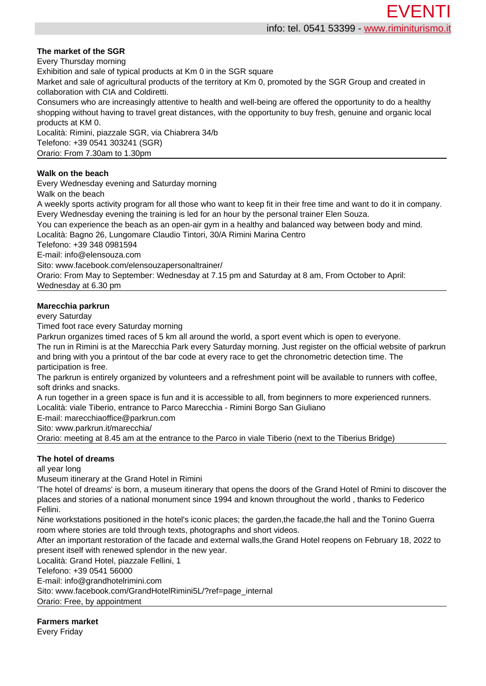## **The market of the SGR**

Every Thursday morning

Exhibition and sale of typical products at Km 0 in the SGR square

Market and sale of agricultural products of the territory at Km 0, promoted by the SGR Group and created in collaboration with CIA and Coldiretti.

Consumers who are increasingly attentive to health and well-being are offered the opportunity to do a healthy shopping without having to travel great distances, with the opportunity to buy fresh, genuine and organic local products at KM 0.

Località: Rimini, piazzale SGR, via Chiabrera 34/b Telefono: +39 0541 303241 (SGR) Orario: From 7.30am to 1.30pm

## **Walk on the beach**

Every Wednesday evening and Saturday morning Walk on the beach

A weekly sports activity program for all those who want to keep fit in their free time and want to do it in company. Every Wednesday evening the training is led for an hour by the personal trainer Elen Souza.

You can experience the beach as an open-air gym in a healthy and balanced way between body and mind.

Località: Bagno 26, Lungomare Claudio Tintori, 30/A Rimini Marina Centro

Telefono: +39 348 0981594

E-mail: info@elensouza.com

Sito: www.facebook.com/elensouzapersonaltrainer/

Orario: From May to September: Wednesday at 7.15 pm and Saturday at 8 am, From October to April: Wednesday at 6.30 pm

## **Marecchia parkrun**

every Saturday

Timed foot race every Saturday morning

Parkrun organizes timed races of 5 km all around the world, a sport event which is open to everyone.

The run in Rimini is at the Marecchia Park every Saturday morning. Just register on the official website of parkrun and bring with you a printout of the bar code at every race to get the chronometric detection time. The participation is free.

The parkrun is entirely organized by volunteers and a refreshment point will be available to runners with coffee, soft drinks and snacks.

A run together in a green space is fun and it is accessible to all, from beginners to more experienced runners.

Località: viale Tiberio, entrance to Parco Marecchia - Rimini Borgo San Giuliano

E-mail: marecchiaoffice@parkrun.com

Sito: www.parkrun.it/marecchia/

Orario: meeting at 8.45 am at the entrance to the Parco in viale Tiberio (next to the Tiberius Bridge)

# **The hotel of dreams**

#### all year long

Museum itinerary at the Grand Hotel in Rimini

'The hotel of dreams' is born, a museum itinerary that opens the doors of the Grand Hotel of Rmini to discover the places and stories of a national monument since 1994 and known throughout the world , thanks to Federico Fellini.

Nine workstations positioned in the hotel's iconic places; the garden,the facade,the hall and the Tonino Guerra room where stories are told through texts, photographs and short videos.

After an important restoration of the facade and external walls,the Grand Hotel reopens on February 18, 2022 to present itself with renewed splendor in the new year.

Località: Grand Hotel, piazzale Fellini, 1

Telefono: +39 0541 56000

E-mail: info@grandhotelrimini.com

Sito: www.facebook.com/GrandHotelRimini5L/?ref=page\_internal

Orario: Free, by appointment

**Farmers market** Every Friday